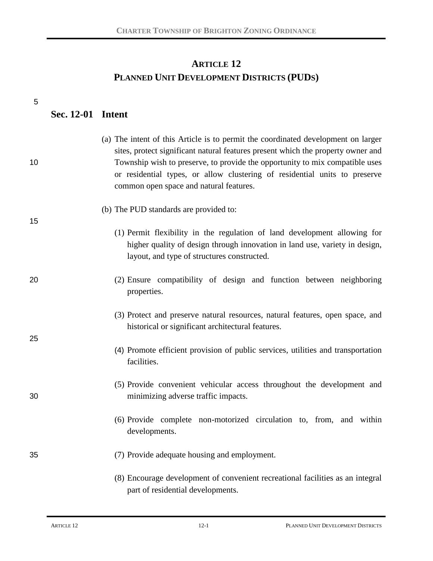# **ARTICLE 12 PLANNED UNIT DEVELOPMENT DISTRICTS (PUDS)**

| 5  |                          |                                                                                                                                                                                                                                                                                                                                                                                |
|----|--------------------------|--------------------------------------------------------------------------------------------------------------------------------------------------------------------------------------------------------------------------------------------------------------------------------------------------------------------------------------------------------------------------------|
|    | <b>Sec. 12-01 Intent</b> |                                                                                                                                                                                                                                                                                                                                                                                |
| 10 |                          | (a) The intent of this Article is to permit the coordinated development on larger<br>sites, protect significant natural features present which the property owner and<br>Township wish to preserve, to provide the opportunity to mix compatible uses<br>or residential types, or allow clustering of residential units to preserve<br>common open space and natural features. |
| 15 |                          | (b) The PUD standards are provided to:                                                                                                                                                                                                                                                                                                                                         |
|    |                          | (1) Permit flexibility in the regulation of land development allowing for<br>higher quality of design through innovation in land use, variety in design,<br>layout, and type of structures constructed.                                                                                                                                                                        |
| 20 |                          | (2) Ensure compatibility of design and function between neighboring<br>properties.                                                                                                                                                                                                                                                                                             |
| 25 |                          | (3) Protect and preserve natural resources, natural features, open space, and<br>historical or significant architectural features.                                                                                                                                                                                                                                             |
|    |                          | (4) Promote efficient provision of public services, utilities and transportation<br>facilities.                                                                                                                                                                                                                                                                                |
| 30 |                          | (5) Provide convenient vehicular access throughout the development and<br>minimizing adverse traffic impacts.                                                                                                                                                                                                                                                                  |
|    |                          | (6) Provide complete non-motorized circulation to, from, and within<br>developments.                                                                                                                                                                                                                                                                                           |
| 35 |                          | (7) Provide adequate housing and employment.                                                                                                                                                                                                                                                                                                                                   |
|    |                          | (8) Encourage development of convenient recreational facilities as an integral<br>part of residential developments.                                                                                                                                                                                                                                                            |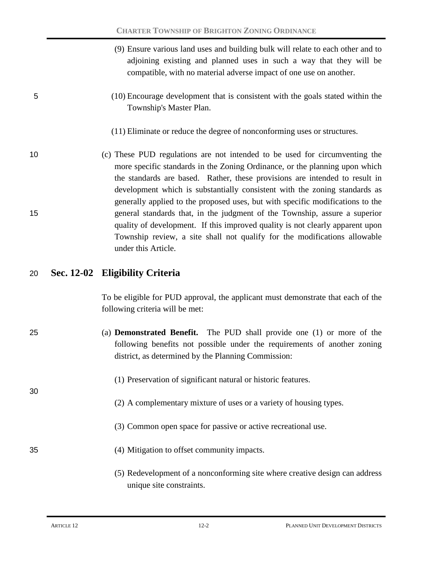|    | (9) Ensure various land uses and building bulk will relate to each other and to<br>adjoining existing and planned uses in such a way that they will be<br>compatible, with no material adverse impact of one use on another.                                                                                                                                                                              |
|----|-----------------------------------------------------------------------------------------------------------------------------------------------------------------------------------------------------------------------------------------------------------------------------------------------------------------------------------------------------------------------------------------------------------|
| 5  | (10) Encourage development that is consistent with the goals stated within the<br>Township's Master Plan.                                                                                                                                                                                                                                                                                                 |
|    | (11) Eliminate or reduce the degree of nonconforming uses or structures.                                                                                                                                                                                                                                                                                                                                  |
| 10 | (c) These PUD regulations are not intended to be used for circumventing the<br>more specific standards in the Zoning Ordinance, or the planning upon which<br>the standards are based. Rather, these provisions are intended to result in<br>development which is substantially consistent with the zoning standards as<br>generally applied to the proposed uses, but with specific modifications to the |
| 15 | general standards that, in the judgment of the Township, assure a superior<br>quality of development. If this improved quality is not clearly apparent upon<br>Township review, a site shall not qualify for the modifications allowable<br>under this Article.                                                                                                                                           |

### 20 **Sec. 12-02 Eligibility Criteria**

To be eligible for PUD approval, the applicant must demonstrate that each of the following criteria will be met:

- 25 (a) **Demonstrated Benefit.** The PUD shall provide one (1) or more of the following benefits not possible under the requirements of another zoning district, as determined by the Planning Commission:
	- (1) Preservation of significant natural or historic features.
	- (2) A complementary mixture of uses or a variety of housing types.
	- (3) Common open space for passive or active recreational use.
- 35 (4) Mitigation to offset community impacts.
	- (5) Redevelopment of a nonconforming site where creative design can address unique site constraints.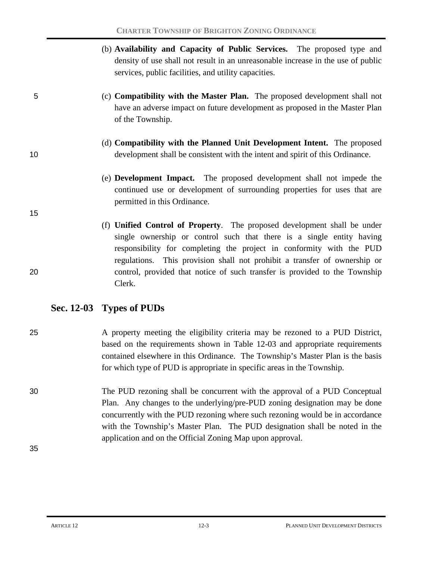|    | (b) Availability and Capacity of Public Services. The proposed type and<br>density of use shall not result in an unreasonable increase in the use of public<br>services, public facilities, and utility capacities.                                                                                            |
|----|----------------------------------------------------------------------------------------------------------------------------------------------------------------------------------------------------------------------------------------------------------------------------------------------------------------|
| 5  | (c) <b>Compatibility with the Master Plan.</b> The proposed development shall not<br>have an adverse impact on future development as proposed in the Master Plan<br>of the Township.                                                                                                                           |
| 10 | (d) <b>Compatibility with the Planned Unit Development Intent.</b> The proposed<br>development shall be consistent with the intent and spirit of this Ordinance.                                                                                                                                               |
|    | (e) <b>Development Impact.</b> The proposed development shall not impede the<br>continued use or development of surrounding properties for uses that are<br>permitted in this Ordinance.                                                                                                                       |
| 15 |                                                                                                                                                                                                                                                                                                                |
|    | (f) <b>Unified Control of Property</b> . The proposed development shall be under<br>single ownership or control such that there is a single entity having<br>responsibility for completing the project in conformity with the PUD<br>regulations. This provision shall not prohibit a transfer of ownership or |
| 20 | control, provided that notice of such transfer is provided to the Township                                                                                                                                                                                                                                     |

# **Sec. 12-03 Types of PUDs**

Clerk.

- 25 A property meeting the eligibility criteria may be rezoned to a PUD District, based on the requirements shown in Table 12-03 and appropriate requirements contained elsewhere in this Ordinance. The Township's Master Plan is the basis for which type of PUD is appropriate in specific areas in the Township.
- 30 The PUD rezoning shall be concurrent with the approval of a PUD Conceptual Plan. Any changes to the underlying/pre-PUD zoning designation may be done concurrently with the PUD rezoning where such rezoning would be in accordance with the Township's Master Plan. The PUD designation shall be noted in the application and on the Official Zoning Map upon approval.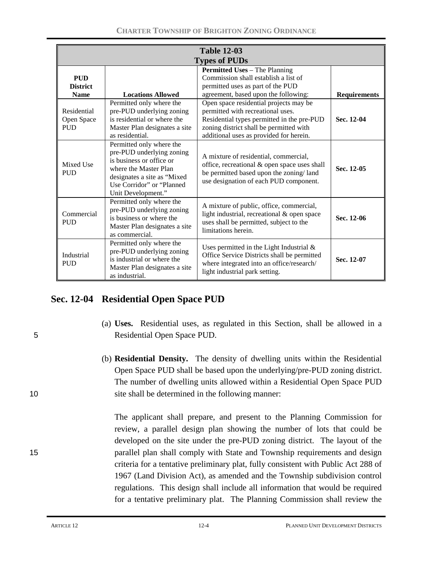| <b>Table 12-03</b>                           |                                                                                                                                                                                               |                                                                                                                                                                                                                 |                     |  |  |
|----------------------------------------------|-----------------------------------------------------------------------------------------------------------------------------------------------------------------------------------------------|-----------------------------------------------------------------------------------------------------------------------------------------------------------------------------------------------------------------|---------------------|--|--|
| <b>Types of PUDs</b>                         |                                                                                                                                                                                               |                                                                                                                                                                                                                 |                     |  |  |
| <b>PUD</b><br><b>District</b><br><b>Name</b> | <b>Locations Allowed</b>                                                                                                                                                                      | <b>Permitted Uses – The Planning</b><br>Commission shall establish a list of<br>permitted uses as part of the PUD<br>agreement, based upon the following:                                                       | <b>Requirements</b> |  |  |
| Residential<br>Open Space<br><b>PUD</b>      | Permitted only where the<br>pre-PUD underlying zoning<br>is residential or where the<br>Master Plan designates a site<br>as residential.                                                      | Open space residential projects may be<br>permitted with recreational uses.<br>Residential types permitted in the pre-PUD<br>zoning district shall be permitted with<br>additional uses as provided for herein. | Sec. 12-04          |  |  |
| Mixed Use<br><b>PUD</b>                      | Permitted only where the<br>pre-PUD underlying zoning<br>is business or office or<br>where the Master Plan<br>designates a site as "Mixed<br>Use Corridor" or "Planned"<br>Unit Development." | A mixture of residential, commercial,<br>office, recreational & open space uses shall<br>be permitted based upon the zoning/land<br>use designation of each PUD component.                                      | Sec. 12-05          |  |  |
| Commercial<br><b>PUD</b>                     | Permitted only where the<br>pre-PUD underlying zoning<br>is business or where the<br>Master Plan designates a site<br>as commercial.                                                          | A mixture of public, office, commercial,<br>light industrial, recreational & open space<br>uses shall be permitted, subject to the<br>limitations herein.                                                       | Sec. 12-06          |  |  |
| Industrial<br><b>PUD</b>                     | Permitted only where the<br>pre-PUD underlying zoning<br>is industrial or where the<br>Master Plan designates a site<br>as industrial.                                                        | Uses permitted in the Light Industrial $\&$<br>Office Service Districts shall be permitted<br>where integrated into an office/research/<br>light industrial park setting.                                       | Sec. 12-07          |  |  |

# **Sec. 12-04 Residential Open Space PUD**

- (a) **Uses.** Residential uses, as regulated in this Section, shall be allowed in a 5 Residential Open Space PUD.
- (b) **Residential Density.** The density of dwelling units within the Residential Open Space PUD shall be based upon the underlying/pre-PUD zoning district. The number of dwelling units allowed within a Residential Open Space PUD 10 site shall be determined in the following manner:

The applicant shall prepare, and present to the Planning Commission for review, a parallel design plan showing the number of lots that could be developed on the site under the pre-PUD zoning district. The layout of the 15 parallel plan shall comply with State and Township requirements and design criteria for a tentative preliminary plat, fully consistent with Public Act 288 of 1967 (Land Division Act), as amended and the Township subdivision control regulations. This design shall include all information that would be required for a tentative preliminary plat. The Planning Commission shall review the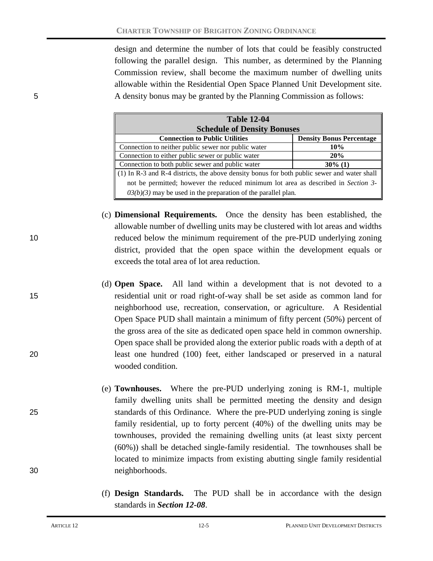design and determine the number of lots that could be feasibly constructed following the parallel design. This number, as determined by the Planning Commission review, shall become the maximum number of dwelling units allowable within the Residential Open Space Planned Unit Development site. 5 A density bonus may be granted by the Planning Commission as follows:

| <b>Table 12-04</b>                                                                                      |                                 |  |  |  |  |
|---------------------------------------------------------------------------------------------------------|---------------------------------|--|--|--|--|
| <b>Schedule of Density Bonuses</b>                                                                      |                                 |  |  |  |  |
| <b>Connection to Public Utilities</b>                                                                   | <b>Density Bonus Percentage</b> |  |  |  |  |
| Connection to neither public sewer nor public water                                                     | 10%                             |  |  |  |  |
| Connection to either public sewer or public water                                                       | 20%                             |  |  |  |  |
| Connection to both public sewer and public water                                                        | $30\%$ (1)                      |  |  |  |  |
| $\parallel$ (1) In R-3 and R-4 districts, the above density bonus for both public sewer and water shall |                                 |  |  |  |  |
| not be permitted; however the reduced minimum lot area as described in Section 3-                       |                                 |  |  |  |  |
| $03(b)(3)$ may be used in the preparation of the parallel plan.                                         |                                 |  |  |  |  |

- (c) **Dimensional Requirements.** Once the density has been established, the allowable number of dwelling units may be clustered with lot areas and widths 10 reduced below the minimum requirement of the pre-PUD underlying zoning district, provided that the open space within the development equals or exceeds the total area of lot area reduction.
- (d) **Open Space.** All land within a development that is not devoted to a 15 residential unit or road right-of-way shall be set aside as common land for neighborhood use, recreation, conservation, or agriculture. A Residential Open Space PUD shall maintain a minimum of fifty percent (50%) percent of the gross area of the site as dedicated open space held in common ownership. Open space shall be provided along the exterior public roads with a depth of at 20 least one hundred (100) feet, either landscaped or preserved in a natural wooded condition.
- (e) **Townhouses.** Where the pre-PUD underlying zoning is RM-1, multiple family dwelling units shall be permitted meeting the density and design 25 standards of this Ordinance. Where the pre-PUD underlying zoning is single family residential, up to forty percent (40%) of the dwelling units may be townhouses, provided the remaining dwelling units (at least sixty percent (60%)) shall be detached single-family residential. The townhouses shall be located to minimize impacts from existing abutting single family residential 30 neighborhoods.
	- (f) **Design Standards.** The PUD shall be in accordance with the design standards in *Section 12-08*.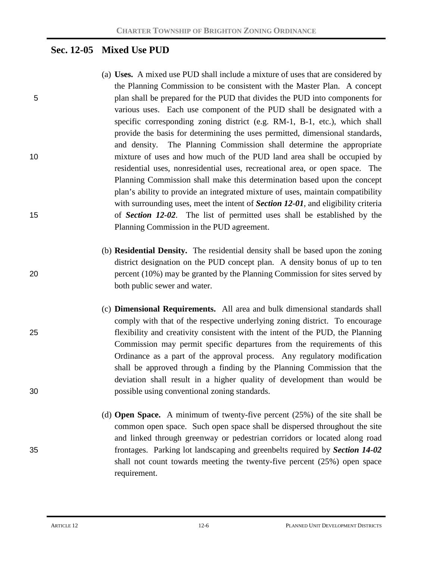# **Sec. 12-05 Mixed Use PUD**

- (a) **Uses.** A mixed use PUD shall include a mixture of uses that are considered by the Planning Commission to be consistent with the Master Plan. A concept 5 plan shall be prepared for the PUD that divides the PUD into components for various uses. Each use component of the PUD shall be designated with a specific corresponding zoning district (e.g.  $RM-1$ ,  $B-1$ , etc.), which shall provide the basis for determining the uses permitted, dimensional standards, and density. The Planning Commission shall determine the appropriate 10 mixture of uses and how much of the PUD land area shall be occupied by residential uses, nonresidential uses, recreational area, or open space. The Planning Commission shall make this determination based upon the concept plan's ability to provide an integrated mixture of uses, maintain compatibility with surrounding uses, meet the intent of *Section 12-01*, and eligibility criteria 15 of *Section 12-02*. The list of permitted uses shall be established by the Planning Commission in the PUD agreement.
- (b) **Residential Density.** The residential density shall be based upon the zoning district designation on the PUD concept plan. A density bonus of up to ten 20 percent (10%) may be granted by the Planning Commission for sites served by both public sewer and water.
- (c) **Dimensional Requirements.** All area and bulk dimensional standards shall comply with that of the respective underlying zoning district. To encourage 25 flexibility and creativity consistent with the intent of the PUD, the Planning Commission may permit specific departures from the requirements of this Ordinance as a part of the approval process. Any regulatory modification shall be approved through a finding by the Planning Commission that the deviation shall result in a higher quality of development than would be 30 possible using conventional zoning standards.
- (d) **Open Space.** A minimum of twenty-five percent (25%) of the site shall be common open space. Such open space shall be dispersed throughout the site and linked through greenway or pedestrian corridors or located along road 35 frontages. Parking lot landscaping and greenbelts required by *Section 14-02* shall not count towards meeting the twenty-five percent (25%) open space requirement.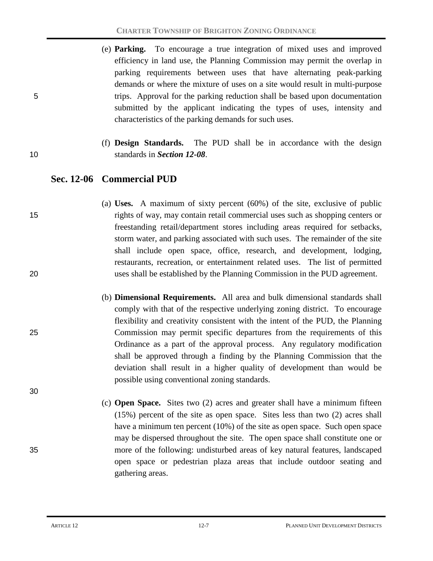- (e) **Parking.** To encourage a true integration of mixed uses and improved efficiency in land use, the Planning Commission may permit the overlap in parking requirements between uses that have alternating peak-parking demands or where the mixture of uses on a site would result in multi-purpose 5 trips. Approval for the parking reduction shall be based upon documentation submitted by the applicant indicating the types of uses, intensity and characteristics of the parking demands for such uses.
- (f) **Design Standards.** The PUD shall be in accordance with the design 10 standards in *Section 12-08*.

# **Sec. 12-06 Commercial PUD**

- (a) **Uses.** A maximum of sixty percent (60%) of the site, exclusive of public 15 rights of way, may contain retail commercial uses such as shopping centers or freestanding retail/department stores including areas required for setbacks, storm water, and parking associated with such uses. The remainder of the site shall include open space, office, research, and development, lodging, restaurants, recreation, or entertainment related uses. The list of permitted 20 uses shall be established by the Planning Commission in the PUD agreement.
- (b) **Dimensional Requirements.** All area and bulk dimensional standards shall comply with that of the respective underlying zoning district. To encourage flexibility and creativity consistent with the intent of the PUD, the Planning 25 Commission may permit specific departures from the requirements of this Ordinance as a part of the approval process. Any regulatory modification shall be approved through a finding by the Planning Commission that the deviation shall result in a higher quality of development than would be possible using conventional zoning standards.
- (c) **Open Space.** Sites two (2) acres and greater shall have a minimum fifteen (15%) percent of the site as open space. Sites less than two (2) acres shall have a minimum ten percent (10%) of the site as open space. Such open space may be dispersed throughout the site. The open space shall constitute one or 35 more of the following: undisturbed areas of key natural features, landscaped open space or pedestrian plaza areas that include outdoor seating and gathering areas.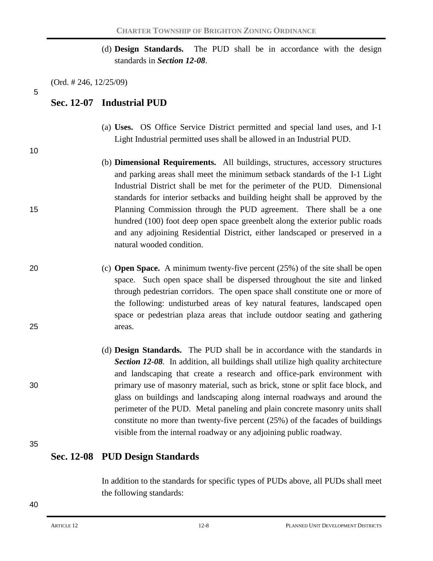(d) **Design Standards.** The PUD shall be in accordance with the design standards in *Section 12-08*.

(Ord. # 246, 12/25/09)

5

10

## **Sec. 12-07 Industrial PUD**

- (a) **Uses.** OS Office Service District permitted and special land uses, and I-1 Light Industrial permitted uses shall be allowed in an Industrial PUD.
- (b) **Dimensional Requirements.** All buildings, structures, accessory structures and parking areas shall meet the minimum setback standards of the I-1 Light Industrial District shall be met for the perimeter of the PUD. Dimensional standards for interior setbacks and building height shall be approved by the 15 Planning Commission through the PUD agreement. There shall be a one hundred (100) foot deep open space greenbelt along the exterior public roads and any adjoining Residential District, either landscaped or preserved in a natural wooded condition.

- 20 (c) **Open Space.** A minimum twenty-five percent (25%) of the site shall be open space. Such open space shall be dispersed throughout the site and linked through pedestrian corridors. The open space shall constitute one or more of the following: undisturbed areas of key natural features, landscaped open space or pedestrian plaza areas that include outdoor seating and gathering 25 areas.
- (d) **Design Standards.** The PUD shall be in accordance with the standards in *Section 12-08*. In addition, all buildings shall utilize high quality architecture and landscaping that create a research and office-park environment with 30 primary use of masonry material, such as brick, stone or split face block, and glass on buildings and landscaping along internal roadways and around the perimeter of the PUD. Metal paneling and plain concrete masonry units shall constitute no more than twenty-five percent (25%) of the facades of buildings visible from the internal roadway or any adjoining public roadway.

35

## **Sec. 12-08 PUD Design Standards**

In addition to the standards for specific types of PUDs above, all PUDs shall meet the following standards: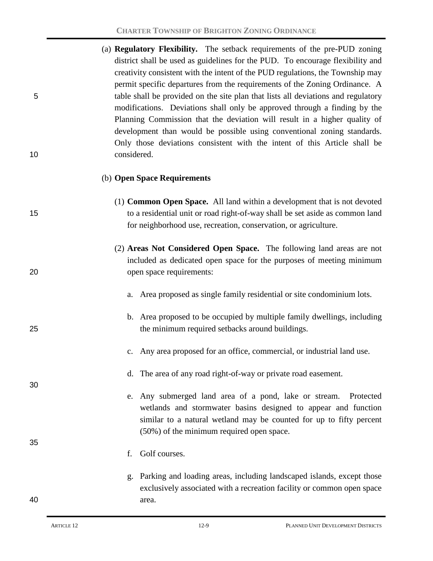|    | (a) <b>Regulatory Flexibility.</b> The setback requirements of the pre-PUD zoning |
|----|-----------------------------------------------------------------------------------|
|    | district shall be used as guidelines for the PUD. To encourage flexibility and    |
|    | creativity consistent with the intent of the PUD regulations, the Township may    |
|    | permit specific departures from the requirements of the Zoning Ordinance. A       |
| 5  | table shall be provided on the site plan that lists all deviations and regulatory |
|    | modifications. Deviations shall only be approved through a finding by the         |
|    | Planning Commission that the deviation will result in a higher quality of         |
|    | development than would be possible using conventional zoning standards.           |
|    | Only those deviations consistent with the intent of this Article shall be         |
| 10 | considered.                                                                       |

#### (b) **Open Space Requirements**

- (1) **Common Open Space.** All land within a development that is not devoted 15 to a residential unit or road right-of-way shall be set aside as common land for neighborhood use, recreation, conservation, or agriculture.
- (2) **Areas Not Considered Open Space.** The following land areas are not included as dedicated open space for the purposes of meeting minimum 20 open space requirements:
	- a. Area proposed as single family residential or site condominium lots.
- b. Area proposed to be occupied by multiple family dwellings, including 25 the minimum required setbacks around buildings.
	- c. Any area proposed for an office, commercial, or industrial land use.
	- d. The area of any road right-of-way or private road easement.
	- e. Any submerged land area of a pond, lake or stream. Protected wetlands and stormwater basins designed to appear and function similar to a natural wetland may be counted for up to fifty percent (50%) of the minimum required open space.
	- f. Golf courses.
- g. Parking and loading areas, including landscaped islands, except those exclusively associated with a recreation facility or common open space 40 area.

30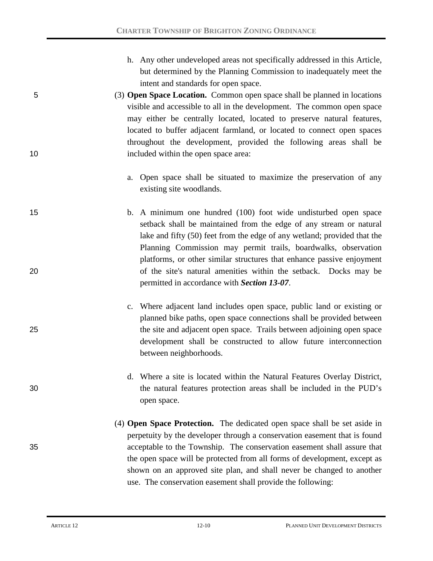- h. Any other undeveloped areas not specifically addressed in this Article, but determined by the Planning Commission to inadequately meet the intent and standards for open space.
- 5 (3) **Open Space Location.** Common open space shall be planned in locations visible and accessible to all in the development. The common open space may either be centrally located, located to preserve natural features, located to buffer adjacent farmland, or located to connect open spaces throughout the development, provided the following areas shall be 10 included within the open space area:
	- a. Open space shall be situated to maximize the preservation of any existing site woodlands.
- 15 b. A minimum one hundred (100) foot wide undisturbed open space setback shall be maintained from the edge of any stream or natural lake and fifty (50) feet from the edge of any wetland; provided that the Planning Commission may permit trails, boardwalks, observation platforms, or other similar structures that enhance passive enjoyment 20 of the site's natural amenities within the setback. Docks may be permitted in accordance with *Section 13-07*.
- c. Where adjacent land includes open space, public land or existing or planned bike paths, open space connections shall be provided between 25 the site and adjacent open space. Trails between adjoining open space development shall be constructed to allow future interconnection between neighborhoods.
- d. Where a site is located within the Natural Features Overlay District, 30 the natural features protection areas shall be included in the PUD's open space.
- (4) **Open Space Protection.** The dedicated open space shall be set aside in perpetuity by the developer through a conservation easement that is found 35 acceptable to the Township. The conservation easement shall assure that the open space will be protected from all forms of development, except as shown on an approved site plan, and shall never be changed to another use. The conservation easement shall provide the following: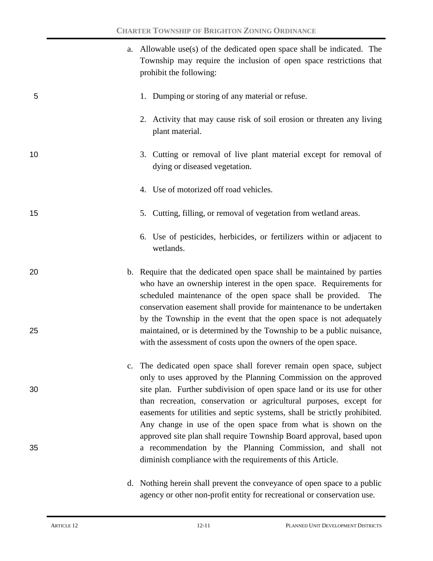|    | a. Allowable use(s) of the dedicated open space shall be indicated. The<br>Township may require the inclusion of open space restrictions that<br>prohibit the following:                                                                                                                                                                                      |
|----|---------------------------------------------------------------------------------------------------------------------------------------------------------------------------------------------------------------------------------------------------------------------------------------------------------------------------------------------------------------|
| 5  | 1. Dumping or storing of any material or refuse.                                                                                                                                                                                                                                                                                                              |
|    | 2. Activity that may cause risk of soil erosion or threaten any living<br>plant material.                                                                                                                                                                                                                                                                     |
| 10 | 3. Cutting or removal of live plant material except for removal of<br>dying or diseased vegetation.                                                                                                                                                                                                                                                           |
|    | 4. Use of motorized off road vehicles.                                                                                                                                                                                                                                                                                                                        |
| 15 | 5. Cutting, filling, or removal of vegetation from wetland areas.                                                                                                                                                                                                                                                                                             |
|    | 6. Use of pesticides, herbicides, or fertilizers within or adjacent to<br>wetlands.                                                                                                                                                                                                                                                                           |
| 20 | b. Require that the dedicated open space shall be maintained by parties<br>who have an ownership interest in the open space. Requirements for<br>scheduled maintenance of the open space shall be provided. The<br>conservation easement shall provide for maintenance to be undertaken<br>by the Township in the event that the open space is not adequately |
| 25 | maintained, or is determined by the Township to be a public nuisance,<br>with the assessment of costs upon the owners of the open space.                                                                                                                                                                                                                      |
| 30 | The dedicated open space shall forever remain open space, subject<br>only to uses approved by the Planning Commission on the approved<br>site plan. Further subdivision of open space land or its use for other                                                                                                                                               |
|    | than recreation, conservation or agricultural purposes, except for<br>easements for utilities and septic systems, shall be strictly prohibited.<br>Any change in use of the open space from what is shown on the                                                                                                                                              |
| 35 | approved site plan shall require Township Board approval, based upon<br>a recommendation by the Planning Commission, and shall not<br>diminish compliance with the requirements of this Article.                                                                                                                                                              |
|    | d. Nothing herein shall prevent the conveyance of open space to a public                                                                                                                                                                                                                                                                                      |

d. Nothing herein shall prevent the conveyance of open space to a public agency or other non-profit entity for recreational or conservation use.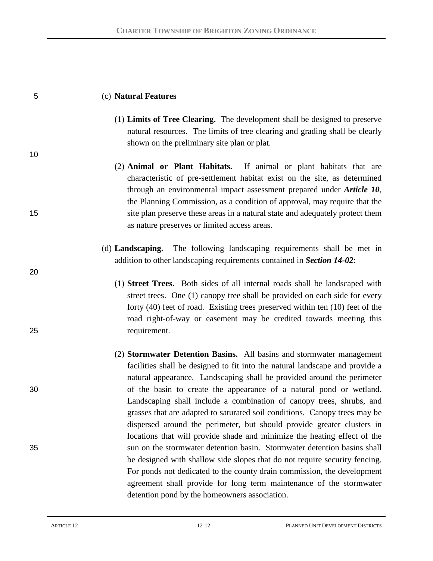| 5  | (c) Natural Features                                                                                                                                                                                                                                                                                                                                                            |
|----|---------------------------------------------------------------------------------------------------------------------------------------------------------------------------------------------------------------------------------------------------------------------------------------------------------------------------------------------------------------------------------|
|    | (1) Limits of Tree Clearing. The development shall be designed to preserve<br>natural resources. The limits of tree clearing and grading shall be clearly<br>shown on the preliminary site plan or plat.                                                                                                                                                                        |
| 10 | (2) Animal or Plant Habitats. If animal or plant habitats that are<br>characteristic of pre-settlement habitat exist on the site, as determined<br>through an environmental impact assessment prepared under Article 10,<br>the Planning Commission, as a condition of approval, may require that the                                                                           |
| 15 | site plan preserve these areas in a natural state and adequately protect them<br>as nature preserves or limited access areas.                                                                                                                                                                                                                                                   |
| 20 | (d) <b>Landscaping.</b> The following landscaping requirements shall be met in<br>addition to other landscaping requirements contained in Section 14-02:                                                                                                                                                                                                                        |
|    | (1) Street Trees. Both sides of all internal roads shall be landscaped with<br>street trees. One (1) canopy tree shall be provided on each side for every<br>forty $(40)$ feet of road. Existing trees preserved within ten $(10)$ feet of the<br>road right-of-way or easement may be credited towards meeting this                                                            |
| 25 | requirement.                                                                                                                                                                                                                                                                                                                                                                    |
|    | (2) <b>Stormwater Detention Basins.</b> All basins and stormwater management<br>facilities shall be designed to fit into the natural landscape and provide a<br>natural appearance. Landscaping shall be provided around the perimeter                                                                                                                                          |
| 30 | of the basin to create the appearance of a natural pond or wetland.<br>Landscaping shall include a combination of canopy trees, shrubs, and<br>grasses that are adapted to saturated soil conditions. Canopy trees may be<br>dispersed around the perimeter, but should provide greater clusters in<br>locations that will provide shade and minimize the heating effect of the |
| 35 | sun on the stormwater detention basin. Stormwater detention basins shall<br>be designed with shallow side slopes that do not require security fencing.<br>For ponds not dedicated to the county drain commission, the development<br>agreement shall provide for long term maintenance of the stormwater<br>detention pond by the homeowners association.                       |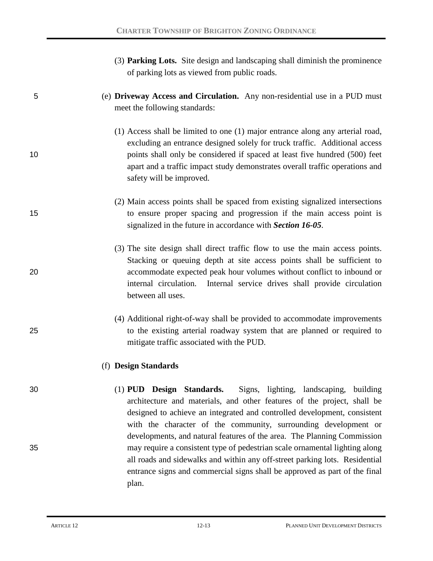|    | (3) Parking Lots. Site design and landscaping shall diminish the prominence<br>of parking lots as viewed from public roads.                                                                                                                                                                                                                                              |
|----|--------------------------------------------------------------------------------------------------------------------------------------------------------------------------------------------------------------------------------------------------------------------------------------------------------------------------------------------------------------------------|
| 5  | (e) Driveway Access and Circulation. Any non-residential use in a PUD must<br>meet the following standards:                                                                                                                                                                                                                                                              |
| 10 | (1) Access shall be limited to one (1) major entrance along any arterial road,<br>excluding an entrance designed solely for truck traffic. Additional access<br>points shall only be considered if spaced at least five hundred (500) feet<br>apart and a traffic impact study demonstrates overall traffic operations and<br>safety will be improved.                   |
| 15 | (2) Main access points shall be spaced from existing signalized intersections<br>to ensure proper spacing and progression if the main access point is<br>signalized in the future in accordance with Section 16-05.                                                                                                                                                      |
| 20 | (3) The site design shall direct traffic flow to use the main access points.<br>Stacking or queuing depth at site access points shall be sufficient to<br>accommodate expected peak hour volumes without conflict to inbound or<br>internal circulation.<br>Internal service drives shall provide circulation<br>between all uses.                                       |
| 25 | (4) Additional right-of-way shall be provided to accommodate improvements<br>to the existing arterial roadway system that are planned or required to<br>mitigate traffic associated with the PUD.                                                                                                                                                                        |
|    | (f) Design Standards                                                                                                                                                                                                                                                                                                                                                     |
| 30 | (1) PUD Design Standards.<br>Signs, lighting, landscaping, building<br>architecture and materials, and other features of the project, shall be<br>designed to achieve an integrated and controlled development, consistent<br>with the character of the community, surrounding development or<br>developments, and natural features of the area. The Planning Commission |
| 35 | may require a consistent type of pedestrian scale ornamental lighting along<br>all roads and sidewalks and within any off-street parking lots. Residential<br>entrance signs and commercial signs shall be approved as part of the final<br>plan.                                                                                                                        |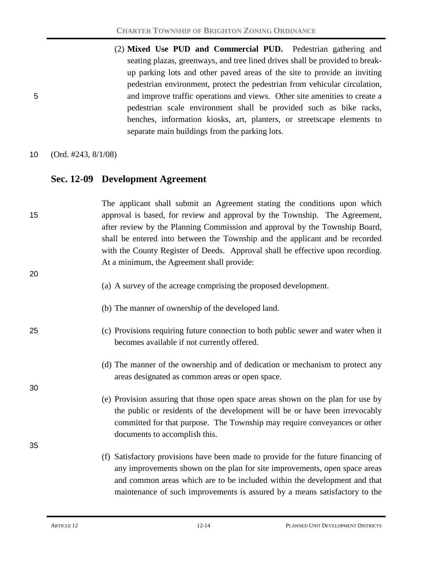(2) **Mixed Use PUD and Commercial PUD.** Pedestrian gathering and seating plazas, greenways, and tree lined drives shall be provided to breakup parking lots and other paved areas of the site to provide an inviting pedestrian environment, protect the pedestrian from vehicular circulation, 5 and improve traffic operations and views. Other site amenities to create a pedestrian scale environment shall be provided such as bike racks, benches, information kiosks, art, planters, or streetscape elements to separate main buildings from the parking lots.

10 (Ord. #243, 8/1/08)

#### **Sec. 12-09 Development Agreement**

| 15 | The applicant shall submit an Agreement stating the conditions upon which<br>approval is based, for review and approval by the Township. The Agreement,<br>after review by the Planning Commission and approval by the Township Board,<br>shall be entered into between the Township and the applicant and be recorded<br>with the County Register of Deeds. Approval shall be effective upon recording.<br>At a minimum, the Agreement shall provide: |
|----|--------------------------------------------------------------------------------------------------------------------------------------------------------------------------------------------------------------------------------------------------------------------------------------------------------------------------------------------------------------------------------------------------------------------------------------------------------|
| 20 | (a) A survey of the acreage comprising the proposed development.                                                                                                                                                                                                                                                                                                                                                                                       |
|    | (b) The manner of ownership of the developed land.                                                                                                                                                                                                                                                                                                                                                                                                     |
| 25 | (c) Provisions requiring future connection to both public sewer and water when it<br>becomes available if not currently offered.                                                                                                                                                                                                                                                                                                                       |
| 30 | (d) The manner of the ownership and of dedication or mechanism to protect any<br>areas designated as common areas or open space.                                                                                                                                                                                                                                                                                                                       |
|    | (e) Provision assuring that those open space areas shown on the plan for use by<br>the public or residents of the development will be or have been irrevocably<br>committed for that purpose. The Township may require conveyances or other<br>documents to accomplish this.                                                                                                                                                                           |
| 35 |                                                                                                                                                                                                                                                                                                                                                                                                                                                        |
|    | (f) Satisfactory provisions have been made to provide for the future financing of<br>any improvements shown on the plan for site improvements, open space areas<br>and common areas which are to be included within the development and that<br>maintenance of such improvements is assured by a means satisfactory to the                                                                                                                             |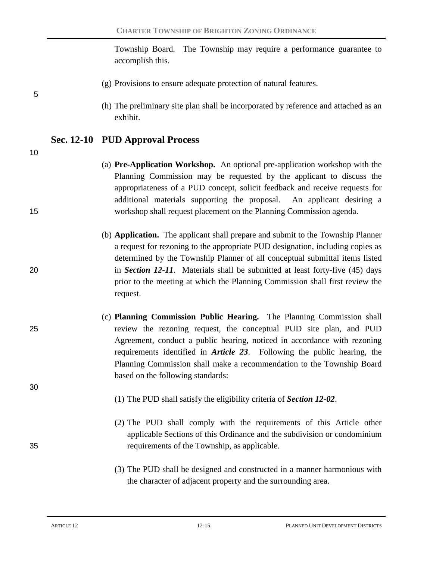Township Board. The Township may require a performance guarantee to accomplish this.

- (g) Provisions to ensure adequate protection of natural features.
- (h) The preliminary site plan shall be incorporated by reference and attached as an exhibit.

### **Sec. 12-10 PUD Approval Process**

10

5

- (a) **Pre-Application Workshop.** An optional pre-application workshop with the Planning Commission may be requested by the applicant to discuss the appropriateness of a PUD concept, solicit feedback and receive requests for additional materials supporting the proposal. An applicant desiring a 15 workshop shall request placement on the Planning Commission agenda.
- (b) **Application.** The applicant shall prepare and submit to the Township Planner a request for rezoning to the appropriate PUD designation, including copies as determined by the Township Planner of all conceptual submittal items listed 20 in *Section 12-11*. Materials shall be submitted at least forty-five (45) days prior to the meeting at which the Planning Commission shall first review the request.
- (c) **Planning Commission Public Hearing.** The Planning Commission shall 25 review the rezoning request, the conceptual PUD site plan, and PUD Agreement, conduct a public hearing, noticed in accordance with rezoning requirements identified in *Article 23*. Following the public hearing, the Planning Commission shall make a recommendation to the Township Board based on the following standards:
	- (1) The PUD shall satisfy the eligibility criteria of *Section 12-02*.
- (2) The PUD shall comply with the requirements of this Article other applicable Sections of this Ordinance and the subdivision or condominium 35 requirements of the Township, as applicable.
	- (3) The PUD shall be designed and constructed in a manner harmonious with the character of adjacent property and the surrounding area.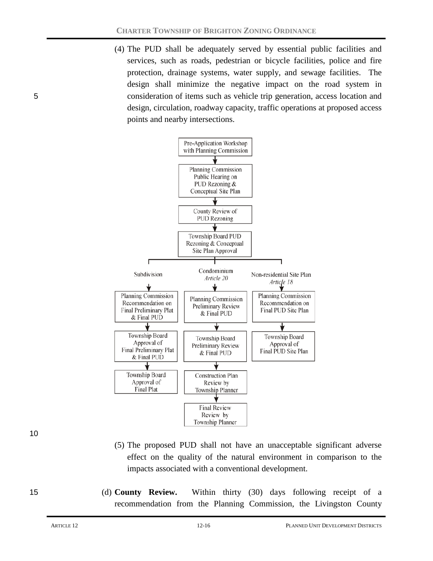(4) The PUD shall be adequately served by essential public facilities and services, such as roads, pedestrian or bicycle facilities, police and fire protection, drainage systems, water supply, and sewage facilities. The design shall minimize the negative impact on the road system in 5 consideration of items such as vehicle trip generation, access location and design, circulation, roadway capacity, traffic operations at proposed access points and nearby intersections.



10

- (5) The proposed PUD shall not have an unacceptable significant adverse effect on the quality of the natural environment in comparison to the impacts associated with a conventional development.
- 15 (d) **County Review.** Within thirty (30) days following receipt of a recommendation from the Planning Commission, the Livingston County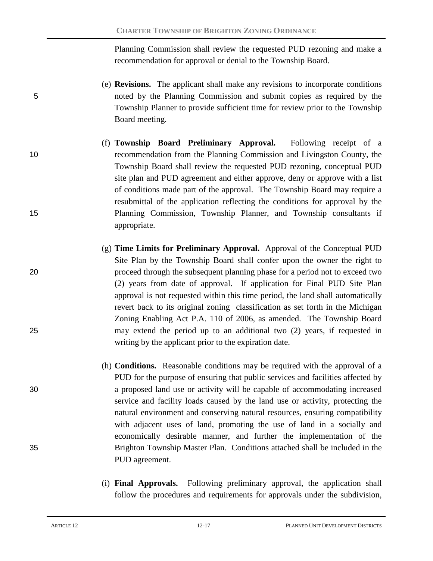Planning Commission shall review the requested PUD rezoning and make a recommendation for approval or denial to the Township Board.

- (e) **Revisions.** The applicant shall make any revisions to incorporate conditions 5 noted by the Planning Commission and submit copies as required by the Township Planner to provide sufficient time for review prior to the Township Board meeting.
- (f) **Township Board Preliminary Approval.** Following receipt of a 10 recommendation from the Planning Commission and Livingston County, the Township Board shall review the requested PUD rezoning, conceptual PUD site plan and PUD agreement and either approve, deny or approve with a list of conditions made part of the approval. The Township Board may require a resubmittal of the application reflecting the conditions for approval by the 15 Planning Commission, Township Planner, and Township consultants if appropriate.
- (g) **Time Limits for Preliminary Approval.** Approval of the Conceptual PUD Site Plan by the Township Board shall confer upon the owner the right to 20 proceed through the subsequent planning phase for a period not to exceed two (2) years from date of approval. If application for Final PUD Site Plan approval is not requested within this time period, the land shall automatically revert back to its original zoning classification as set forth in the Michigan Zoning Enabling Act P.A. 110 of 2006, as amended. The Township Board 25 may extend the period up to an additional two (2) years, if requested in writing by the applicant prior to the expiration date.
- (h) **Conditions.** Reasonable conditions may be required with the approval of a PUD for the purpose of ensuring that public services and facilities affected by 30 a proposed land use or activity will be capable of accommodating increased service and facility loads caused by the land use or activity, protecting the natural environment and conserving natural resources, ensuring compatibility with adjacent uses of land, promoting the use of land in a socially and economically desirable manner, and further the implementation of the 35 Brighton Township Master Plan. Conditions attached shall be included in the PUD agreement.
	- (i) **Final Approvals.** Following preliminary approval, the application shall follow the procedures and requirements for approvals under the subdivision,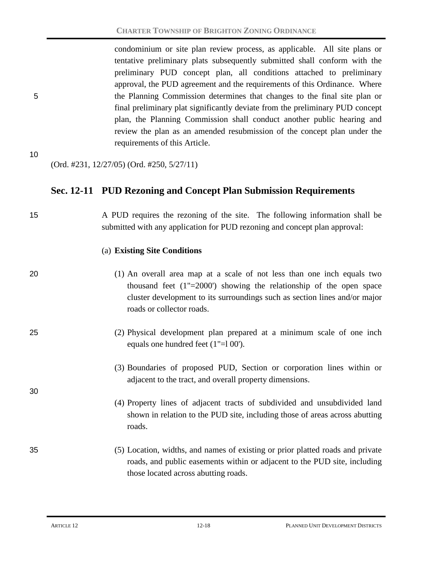condominium or site plan review process, as applicable. All site plans or tentative preliminary plats subsequently submitted shall conform with the preliminary PUD concept plan, all conditions attached to preliminary approval, the PUD agreement and the requirements of this Ordinance. Where 5 the Planning Commission determines that changes to the final site plan or final preliminary plat significantly deviate from the preliminary PUD concept plan, the Planning Commission shall conduct another public hearing and review the plan as an amended resubmission of the concept plan under the requirements of this Article.

10

(Ord. #231, 12/27/05) (Ord. #250, 5/27/11)

### **Sec. 12-11 PUD Rezoning and Concept Plan Submission Requirements**

15 A PUD requires the rezoning of the site. The following information shall be submitted with any application for PUD rezoning and concept plan approval:

#### (a) **Existing Site Conditions**

30

20 (1) An overall area map at a scale of not less than one inch equals two thousand feet (1"=2000') showing the relationship of the open space cluster development to its surroundings such as section lines and/or major roads or collector roads.

25 (2) Physical development plan prepared at a minimum scale of one inch equals one hundred feet (1"=l 00').

> (3) Boundaries of proposed PUD, Section or corporation lines within or adjacent to the tract, and overall property dimensions.

> (4) Property lines of adjacent tracts of subdivided and unsubdivided land shown in relation to the PUD site, including those of areas across abutting roads.

### 35 (5) Location, widths, and names of existing or prior platted roads and private roads, and public easements within or adjacent to the PUD site, including those located across abutting roads.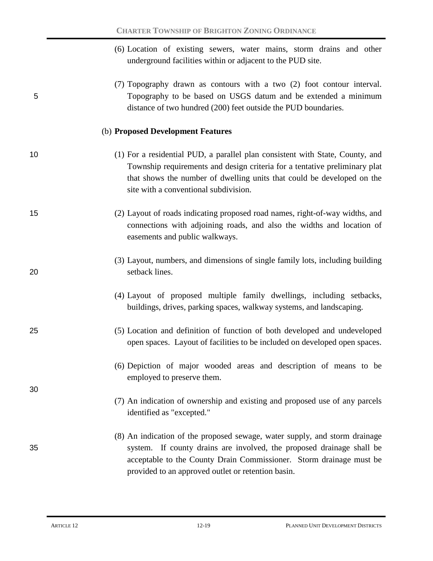| (6) Location of existing sewers, water mains, storm drains and other |  |  |  |  |  |
|----------------------------------------------------------------------|--|--|--|--|--|
| underground facilities within or adjacent to the PUD site.           |  |  |  |  |  |

(7) Topography drawn as contours with a two (2) foot contour interval. 5 Topography to be based on USGS datum and be extended a minimum distance of two hundred (200) feet outside the PUD boundaries.

#### (b) **Proposed Development Features**

- 10 (1) For a residential PUD, a parallel plan consistent with State, County, and Township requirements and design criteria for a tentative preliminary plat that shows the number of dwelling units that could be developed on the site with a conventional subdivision.
- 15 (2) Layout of roads indicating proposed road names, right-of-way widths, and connections with adjoining roads, and also the widths and location of easements and public walkways.
- (3) Layout, numbers, and dimensions of single family lots, including building 20 setback lines.
	- (4) Layout of proposed multiple family dwellings, including setbacks, buildings, drives, parking spaces, walkway systems, and landscaping.
- 25 (5) Location and definition of function of both developed and undeveloped open spaces. Layout of facilities to be included on developed open spaces.
	- (6) Depiction of major wooded areas and description of means to be employed to preserve them.
	- (7) An indication of ownership and existing and proposed use of any parcels identified as "excepted."
- (8) An indication of the proposed sewage, water supply, and storm drainage 35 system. If county drains are involved, the proposed drainage shall be acceptable to the County Drain Commissioner. Storm drainage must be provided to an approved outlet or retention basin.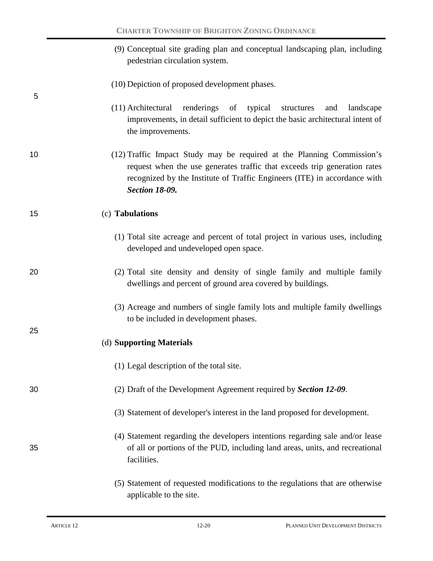|    | (9) Conceptual site grading plan and conceptual landscaping plan, including<br>pedestrian circulation system.                                                                                                                                             |
|----|-----------------------------------------------------------------------------------------------------------------------------------------------------------------------------------------------------------------------------------------------------------|
| 5  | (10) Depiction of proposed development phases.                                                                                                                                                                                                            |
|    | (11) Architectural<br>renderings of typical<br>structures<br>landscape<br>and<br>improvements, in detail sufficient to depict the basic architectural intent of<br>the improvements.                                                                      |
| 10 | (12) Traffic Impact Study may be required at the Planning Commission's<br>request when the use generates traffic that exceeds trip generation rates<br>recognized by the Institute of Traffic Engineers (ITE) in accordance with<br><b>Section 18-09.</b> |
| 15 | (c) Tabulations                                                                                                                                                                                                                                           |
|    | (1) Total site acreage and percent of total project in various uses, including<br>developed and undeveloped open space.                                                                                                                                   |
| 20 | (2) Total site density and density of single family and multiple family<br>dwellings and percent of ground area covered by buildings.                                                                                                                     |
|    | (3) Acreage and numbers of single family lots and multiple family dwellings<br>to be included in development phases.                                                                                                                                      |
| 25 | (d) Supporting Materials                                                                                                                                                                                                                                  |
|    | (1) Legal description of the total site.                                                                                                                                                                                                                  |
| 30 | (2) Draft of the Development Agreement required by Section 12-09.                                                                                                                                                                                         |
|    | (3) Statement of developer's interest in the land proposed for development.                                                                                                                                                                               |
| 35 | (4) Statement regarding the developers intentions regarding sale and/or lease<br>of all or portions of the PUD, including land areas, units, and recreational<br>facilities.                                                                              |
|    | (5) Statement of requested modifications to the regulations that are otherwise                                                                                                                                                                            |

(5) Statement of requested modifications to the regulations that are otherwise applicable to the site.